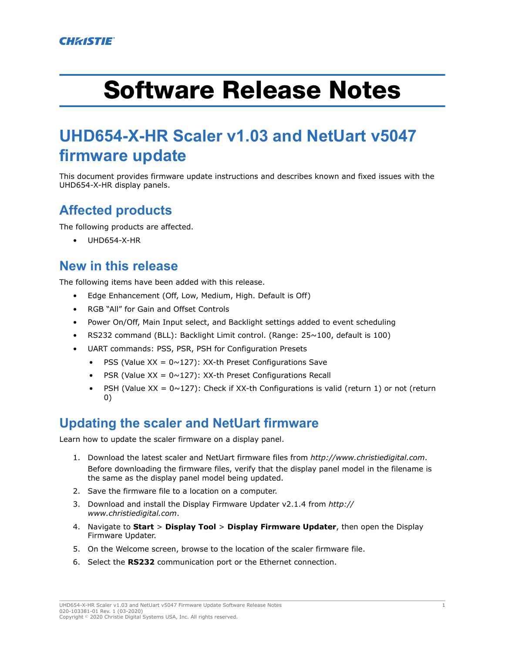# <span id="page-0-0"></span>Software Release Notes

# **UHD654-X-HR Scaler v1.03 and NetUart v5047 firmware update**

This document provides firmware update instructions and describes known and fixed issues with the UHD654-X-HR display panels.

# **Affected products**

The following products are affected.

• UHD654-X-HR

# **New in this release**

The following items have been added with this release.

- Edge Enhancement (Off, Low, Medium, High. Default is Off)
- RGB "All" for Gain and Offset Controls
- Power On/Off, Main Input select, and Backlight settings added to event scheduling
- RS232 command (BLL): Backlight Limit control. (Range: 25~100, default is 100)
- UART commands: PSS, PSR, PSH for Configuration Presets
	- PSS (Value  $XX = 0 \sim 127$ ): XX-th Preset Configurations Save
	- PSR (Value  $XX = 0 \sim 127$ ): XX-th Preset Configurations Recall
	- PSH (Value  $XX = 0 \sim 127$ ): Check if XX-th Configurations is valid (return 1) or not (return 0)

# **Updating the scaler and NetUart firmware**

Learn how to update the scaler firmware on a display panel.

- 1. Download the latest scaler and NetUart firmware files from *<http://www.christiedigital.com>*. Before downloading the firmware files, verify that the display panel model in the filename is the same as the display panel model being updated.
- 2. Save the firmware file to a location on a computer.
- 3. Download and install the Display Firmware Updater v2.1.4 from *[http://](http://www.christiedigital.com) [www.christiedigital.com](http://www.christiedigital.com)*.
- 4. Navigate to **Start** > **Display Tool** > **Display Firmware Updater**, then open the Display Firmware Updater.
- 5. On the Welcome screen, browse to the location of the scaler firmware file.
- 6. Select the **RS232** communication port or the Ethernet connection.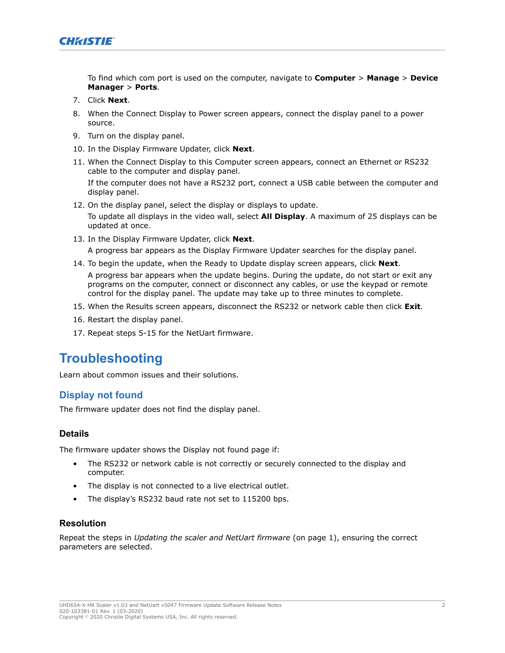

To find which com port is used on the computer, navigate to **Computer** > **Manage** > **Device Manager** > **Ports**.

- 7. Click **Next**.
- 8. When the Connect Display to Power screen appears, connect the display panel to a power source.
- 9. Turn on the display panel.
- 10. In the Display Firmware Updater, click **Next**.
- 11. When the Connect Display to this Computer screen appears, connect an Ethernet or RS232 cable to the computer and display panel.

If the computer does not have a RS232 port, connect a USB cable between the computer and display panel.

12. On the display panel, select the display or displays to update.

To update all displays in the video wall, select **All Display**. A maximum of 25 displays can be updated at once.

13. In the Display Firmware Updater, click **Next**.

A progress bar appears as the Display Firmware Updater searches for the display panel.

- 14. To begin the update, when the Ready to Update display screen appears, click **Next**. A progress bar appears when the update begins. During the update, do not start or exit any programs on the computer, connect or disconnect any cables, or use the keypad or remote control for the display panel. The update may take up to three minutes to complete.
- 15. When the Results screen appears, disconnect the RS232 or network cable then click **Exit**.
- 16. Restart the display panel.
- 17. Repeat steps 5-15 for the NetUart firmware.

# **Troubleshooting**

Learn about common issues and their solutions.

#### **Display not found**

The firmware updater does not find the display panel.

#### **Details**

The firmware updater shows the Display not found page if:

- The RS232 or network cable is not correctly or securely connected to the display and computer.
- The display is not connected to a live electrical outlet.
- The display's RS232 baud rate not set to 115200 bps.

#### **Resolution**

Repeat the steps in *[Updating the scaler and NetUart firmware](#page-0-0)* (on page 1), ensuring the correct parameters are selected.